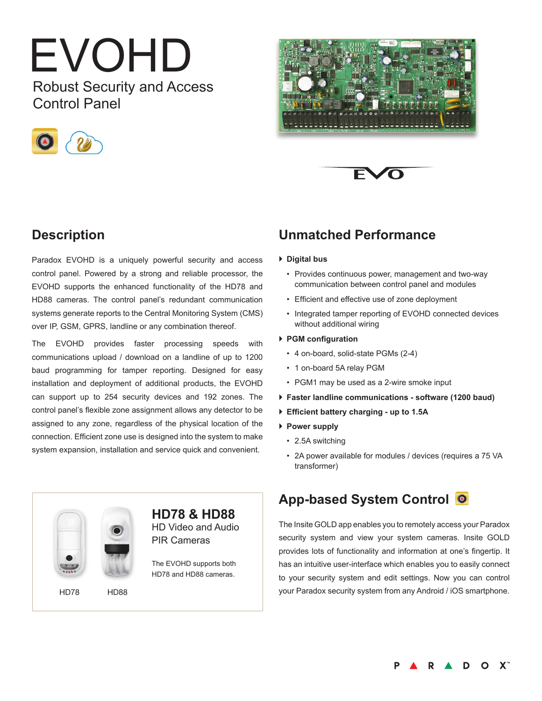# EVOHD Robust Security and Access

Control Panel







# **Description**

Paradox EVOHD is a uniquely powerful security and access control panel. Powered by a strong and reliable processor, the EVOHD supports the enhanced functionality of the HD78 and HD88 cameras. The control panel's redundant communication systems generate reports to the Central Monitoring System (CMS) over IP, GSM, GPRS, landline or any combination thereof.

The EVOHD provides faster processing speeds with communications upload / download on a landline of up to 1200 baud programming for tamper reporting. Designed for easy installation and deployment of additional products, the EVOHD can support up to 254 security devices and 192 zones. The control panel's flexible zone assignment allows any detector to be assigned to any zone, regardless of the physical location of the connection. Efficient zone use is designed into the system to make system expansion, installation and service quick and convenient.

# **Unmatched Performance**

#### } **Digital bus**

- Provides continuous power, management and two-way communication between control panel and modules
- • Efficient and effective use of zone deployment
- Integrated tamper reporting of EVOHD connected devices without additional wiring

#### } **PGM configuration**

- • 4 on-board, solid-state PGMs (2-4)
- 1 on-board 5A relay PGM
- PGM1 may be used as a 2-wire smoke input
- } **Faster landline communications software (1200 baud)**
- } **Efficient battery charging - up to 1.5A**
- } **Power supply**
	- 2.5A switching
	- • 2A power available for modules / devices (requires a 75 VA transformer)

# **App-based System Control**

The Insite GOLD app enables you to remotely access your Paradox security system and view your system cameras. Insite GOLD provides lots of functionality and information at one's fingertip. It has an intuitive user-interface which enables you to easily connect to your security system and edit settings. Now you can control your Paradox security system from any Android / iOS smartphone.



**D** A  $\blacksquare$  $\circ$  $\mathbf{X}^n$